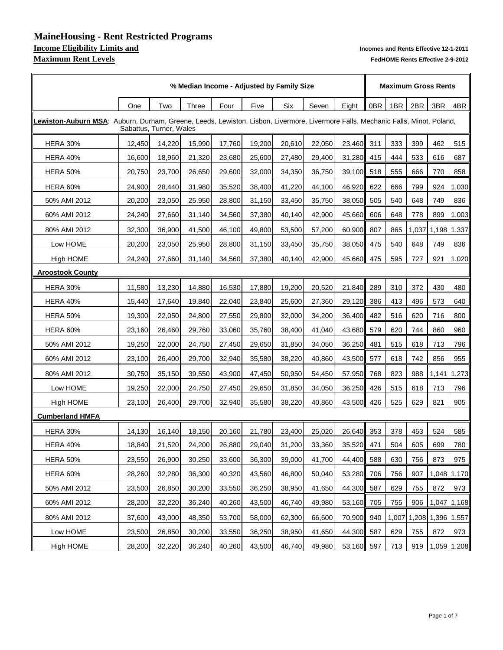### **MaineHousing - Rent Restricted Programs Income Eligibility Limits and Incomes and Rents Effective 12-1-2011 Maximum Rent Levels** *Maximum Rent Levels FedHOME Rents Effective 2-9-2012*

|                                                                                                                                   | % Median Income - Adjusted by Family Size |        |              |        |        |            |        |        |     |       |       | <b>Maximum Gross Rents</b> |             |  |  |  |
|-----------------------------------------------------------------------------------------------------------------------------------|-------------------------------------------|--------|--------------|--------|--------|------------|--------|--------|-----|-------|-------|----------------------------|-------------|--|--|--|
|                                                                                                                                   | One                                       | Two    | <b>Three</b> | Four   | Five   | <b>Six</b> | Seven  | Eight  | 0BR | 4BR   |       |                            |             |  |  |  |
| LLewiston-Auburn MSA: Auburn, Durham, Greene, Leeds, Lewiston, Lisbon, Livermore, Livermore Falls, Mechanic Falls, Minot, Poland, | Sabattus, Turner, Wales                   |        |              |        |        |            |        |        |     |       |       |                            |             |  |  |  |
| <b>HERA 30%</b>                                                                                                                   | 12,450                                    | 14,220 | 15,990       | 17,760 | 19,200 | 20,610     | 22,050 | 23,460 | 311 | 333   | 399   | 462                        | 515         |  |  |  |
| <b>HERA 40%</b>                                                                                                                   | 16,600                                    | 18,960 | 21,320       | 23,680 | 25,600 | 27,480     | 29,400 | 31,280 | 415 | 444   | 533   | 616                        | 687         |  |  |  |
| <b>HERA 50%</b>                                                                                                                   | 20,750                                    | 23,700 | 26,650       | 29,600 | 32,000 | 34,350     | 36,750 | 39,100 | 518 | 555   | 666   | 770                        | 858         |  |  |  |
| <b>HERA 60%</b>                                                                                                                   | 24,900                                    | 28,440 | 31,980       | 35,520 | 38,400 | 41,220     | 44,100 | 46,920 | 622 | 666   | 799   | 924                        | 1,030       |  |  |  |
| 50% AMI 2012                                                                                                                      | 20,200                                    | 23,050 | 25,950       | 28,800 | 31,150 | 33,450     | 35,750 | 38,050 | 505 | 540   | 648   | 749                        | 836         |  |  |  |
| 60% AMI 2012                                                                                                                      | 24,240                                    | 27,660 | 31,140       | 34,560 | 37,380 | 40,140     | 42,900 | 45,660 | 606 | 648   | 778   | 899                        | 1,003       |  |  |  |
| 80% AMI 2012                                                                                                                      | 32,300                                    | 36,900 | 41,500       | 46,100 | 49,800 | 53,500     | 57,200 | 60,900 | 807 | 865   | 1,037 |                            | 1,198 1,337 |  |  |  |
| Low HOME                                                                                                                          | 20,200                                    | 23,050 | 25,950       | 28,800 | 31,150 | 33,450     | 35,750 | 38,050 | 475 | 540   | 648   | 749                        | 836         |  |  |  |
| <b>High HOME</b>                                                                                                                  | 24,240                                    | 27,660 | 31,140       | 34,560 | 37,380 | 40,140     | 42,900 | 45,660 | 475 | 595   | 727   | 921                        | 1,020       |  |  |  |
| <b>Aroostook County</b>                                                                                                           |                                           |        |              |        |        |            |        |        |     |       |       |                            |             |  |  |  |
| <b>HERA 30%</b>                                                                                                                   | 11,580                                    | 13,230 | 14,880       | 16,530 | 17,880 | 19,200     | 20,520 | 21,840 | 289 | 310   | 372   | 430                        | 480         |  |  |  |
| <b>HERA 40%</b>                                                                                                                   | 15,440                                    | 17,640 | 19,840       | 22,040 | 23,840 | 25,600     | 27,360 | 29,120 | 386 | 413   | 496   | 573                        | 640         |  |  |  |
| <b>HERA 50%</b>                                                                                                                   | 19,300                                    | 22,050 | 24,800       | 27,550 | 29,800 | 32,000     | 34,200 | 36,400 | 482 | 516   | 620   | 716                        | 800         |  |  |  |
| <b>HERA 60%</b>                                                                                                                   | 23,160                                    | 26,460 | 29,760       | 33,060 | 35,760 | 38,400     | 41,040 | 43,680 | 579 | 620   | 744   | 860                        | 960         |  |  |  |
| 50% AMI 2012                                                                                                                      | 19,250                                    | 22,000 | 24,750       | 27,450 | 29,650 | 31,850     | 34,050 | 36,250 | 481 | 515   | 618   | 713                        | 796         |  |  |  |
| 60% AMI 2012                                                                                                                      | 23,100                                    | 26,400 | 29,700       | 32,940 | 35,580 | 38,220     | 40,860 | 43,500 | 577 | 618   | 742   | 856                        | 955         |  |  |  |
| 80% AMI 2012                                                                                                                      | 30,750                                    | 35,150 | 39,550       | 43,900 | 47,450 | 50,950     | 54,450 | 57,950 | 768 | 823   | 988   |                            | 1,141 1,273 |  |  |  |
| Low HOME                                                                                                                          | 19,250                                    | 22,000 | 24,750       | 27,450 | 29,650 | 31,850     | 34,050 | 36,250 | 426 | 515   | 618   | 713                        | 796         |  |  |  |
| High HOME                                                                                                                         | 23,100                                    | 26,400 | 29,700       | 32,940 | 35,580 | 38,220     | 40,860 | 43,500 | 426 | 525   | 629   | 821                        | 905         |  |  |  |
| <b>Cumberland HMFA</b>                                                                                                            |                                           |        |              |        |        |            |        |        |     |       |       |                            |             |  |  |  |
| <b>HERA 30%</b>                                                                                                                   | 14,130                                    | 16,140 | 18,150       | 20,160 | 21,780 | 23,400     | 25,020 | 26,640 | 353 | 378   | 453   | 524                        | 585         |  |  |  |
| <b>HERA 40%</b>                                                                                                                   | 18,840                                    | 21,520 | 24,200       | 26,880 | 29,040 | 31,200     | 33,360 | 35,520 | 471 | 504   | 605   | 699                        | 780         |  |  |  |
| <b>HERA 50%</b>                                                                                                                   | 23,550                                    | 26,900 | 30,250       | 33,600 | 36,300 | 39,000     | 41,700 | 44,400 | 588 | 630   | 756   | 873                        | 975         |  |  |  |
| <b>HERA 60%</b>                                                                                                                   | 28,260                                    | 32,280 | 36,300       | 40,320 | 43,560 | 46,800     | 50,040 | 53,280 | 706 | 756   | 907   |                            | 1,048 1,170 |  |  |  |
| 50% AMI 2012                                                                                                                      | 23,500                                    | 26,850 | 30,200       | 33,550 | 36,250 | 38,950     | 41,650 | 44,300 | 587 | 629   | 755   | 872                        | 973         |  |  |  |
| 60% AMI 2012                                                                                                                      | 28,200                                    | 32,220 | 36,240       | 40,260 | 43,500 | 46,740     | 49,980 | 53,160 | 705 | 755   | 906   |                            | 1,047 1,168 |  |  |  |
| 80% AMI 2012                                                                                                                      | 37,600                                    | 43,000 | 48,350       | 53,700 | 58,000 | 62,300     | 66,600 | 70,900 | 940 | 1,007 |       | 1,208 1,396 1,557          |             |  |  |  |
| Low HOME                                                                                                                          | 23,500                                    | 26,850 | 30,200       | 33,550 | 36,250 | 38,950     | 41,650 | 44,300 | 587 | 629   | 755   | 872                        | 973         |  |  |  |
| <b>High HOME</b>                                                                                                                  | 28,200                                    | 32,220 | 36,240       | 40,260 | 43,500 | 46,740     | 49,980 | 53,160 | 597 | 713   | 919   |                            | 1,059 1,208 |  |  |  |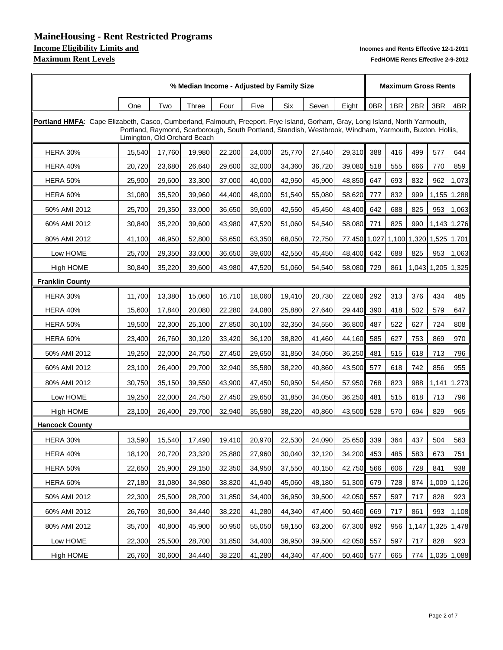# **MaineHousing - Rent Restricted Programs Maximum Rent Levels** *Maximum Rent Levels FedHOME Rents Effective 2-9-2012*

|                                                                                                                               | % Median Income - Adjusted by Family Size |        |              |        |        |        |                                                                                                         |              |     |            | <b>Maximum Gross Rents</b> |                         |             |  |  |  |
|-------------------------------------------------------------------------------------------------------------------------------|-------------------------------------------|--------|--------------|--------|--------|--------|---------------------------------------------------------------------------------------------------------|--------------|-----|------------|----------------------------|-------------------------|-------------|--|--|--|
|                                                                                                                               | One                                       | Two    | <b>Three</b> | Four   | Five   | Six    | Seven                                                                                                   | Eight        | 0BR | 3BR<br>2BR | 4BR                        |                         |             |  |  |  |
| Portland HMFA: Cape Elizabeth, Casco, Cumberland, Falmouth, Freeport, Frye Island, Gorham, Gray, Long Island, North Yarmouth, | Limington, Old Orchard Beach              |        |              |        |        |        | Portland, Raymond, Scarborough, South Portland, Standish, Westbrook, Windham, Yarmouth, Buxton, Hollis, |              |     |            |                            |                         |             |  |  |  |
| <b>HERA 30%</b>                                                                                                               | 15,540                                    | 17,760 | 19,980       | 22,200 | 24,000 | 25,770 | 27,540                                                                                                  | 29,310       | 388 | 416        | 499                        | 577                     | 644         |  |  |  |
| <b>HERA 40%</b>                                                                                                               | 20,720                                    | 23,680 | 26,640       | 29,600 | 32,000 | 34,360 | 36,720                                                                                                  | 39,080       | 518 | 555        | 666                        | 770                     | 859         |  |  |  |
| <b>HERA 50%</b>                                                                                                               | 25,900                                    | 29,600 | 33,300       | 37,000 | 40,000 | 42,950 | 45,900                                                                                                  | 48,850 647   |     | 693        | 832                        | 962                     | 1,073       |  |  |  |
| <b>HERA 60%</b>                                                                                                               | 31,080                                    | 35,520 | 39,960       | 44,400 | 48,000 | 51,540 | 55,080                                                                                                  | 58,620 777   |     | 832        | 999                        |                         | 1,155 1,288 |  |  |  |
| 50% AMI 2012                                                                                                                  | 25,700                                    | 29,350 | 33,000       | 36,650 | 39,600 | 42,550 | 45,450                                                                                                  | 48,400 642   |     | 688        | 825                        | 953                     | 1,063       |  |  |  |
| 60% AMI 2012                                                                                                                  | 30,840                                    | 35,220 | 39,600       | 43,980 | 47,520 | 51,060 | 54,540                                                                                                  | 58,080 771   |     | 825        | 990                        |                         | 1,143 1,276 |  |  |  |
| 80% AMI 2012                                                                                                                  | 41,100                                    | 46,950 | 52,800       | 58,650 | 63,350 | 68,050 | 72,750                                                                                                  | 77,450 1,027 |     |            |                            | 1,100 1,320 1,525 1,701 |             |  |  |  |
| Low HOME                                                                                                                      | 25,700                                    | 29,350 | 33,000       | 36,650 | 39,600 | 42,550 | 45,450                                                                                                  | 48,400 642   |     | 688        | 825                        | 953                     | 1,063       |  |  |  |
| High HOME                                                                                                                     | 30,840                                    | 35,220 | 39,600       | 43,980 | 47,520 | 51,060 | 54,540                                                                                                  | 58,080 729   |     | 861        |                            | 1,043 1,205 1,325       |             |  |  |  |
| <b>Franklin County</b>                                                                                                        |                                           |        |              |        |        |        |                                                                                                         |              |     |            |                            |                         |             |  |  |  |
| <b>HERA 30%</b>                                                                                                               | 11,700                                    | 13,380 | 15,060       | 16,710 | 18,060 | 19,410 | 20,730                                                                                                  | 22,080 292   |     | 313        | 376                        | 434                     | 485         |  |  |  |
| <b>HERA 40%</b>                                                                                                               | 15,600                                    | 17,840 | 20,080       | 22,280 | 24,080 | 25,880 | 27,640                                                                                                  | 29,440 390   |     | 418        | 502                        | 579                     | 647         |  |  |  |
| <b>HERA 50%</b>                                                                                                               | 19,500                                    | 22,300 | 25,100       | 27,850 | 30,100 | 32,350 | 34,550                                                                                                  | 36,800 487   |     | 522        | 627                        | 724                     | 808         |  |  |  |
| <b>HERA 60%</b>                                                                                                               | 23,400                                    | 26,760 | 30,120       | 33,420 | 36,120 | 38,820 | 41,460                                                                                                  | 44,160 585   |     | 627        | 753                        | 869                     | 970         |  |  |  |
| 50% AMI 2012                                                                                                                  | 19,250                                    | 22,000 | 24,750       | 27,450 | 29,650 | 31,850 | 34,050                                                                                                  | 36,250 481   |     | 515        | 618                        | 713                     | 796         |  |  |  |
| 60% AMI 2012                                                                                                                  | 23,100                                    | 26,400 | 29,700       | 32,940 | 35,580 | 38,220 | 40,860                                                                                                  | 43,500 577   |     | 618        | 742                        | 856                     | 955         |  |  |  |
| 80% AMI 2012                                                                                                                  | 30,750                                    | 35,150 | 39,550       | 43,900 | 47,450 | 50,950 | 54,450                                                                                                  | 57,950 768   |     | 823        |                            | 988 1.141 1.273         |             |  |  |  |
| Low HOME                                                                                                                      | 19,250                                    | 22,000 | 24,750       | 27,450 | 29,650 | 31,850 | 34,050                                                                                                  | 36,250       | 481 | 515        | 618                        | 713                     | 796         |  |  |  |
| High HOME                                                                                                                     | 23,100                                    | 26,400 | 29,700       | 32,940 | 35,580 | 38,220 | 40,860                                                                                                  | 43,500 528   |     | 570        | 694                        | 829                     | 965         |  |  |  |
| <b>Hancock County</b>                                                                                                         |                                           |        |              |        |        |        |                                                                                                         |              |     |            |                            |                         |             |  |  |  |
| <b>HERA 30%</b>                                                                                                               | 13,590                                    | 15,540 | 17,490       | 19,410 | 20,970 | 22,530 | 24,090                                                                                                  | 25,650       | 339 | 364        | 437                        | 504                     | 563         |  |  |  |
| <b>HERA 40%</b>                                                                                                               | 18,120                                    | 20,720 | 23,320       | 25,880 | 27,960 | 30,040 | 32,120                                                                                                  | 34,200 453   |     | 485        | 583                        | 673                     | 751         |  |  |  |
| <b>HERA 50%</b>                                                                                                               | 22,650                                    | 25,900 | 29,150       | 32,350 | 34,950 | 37,550 | 40,150                                                                                                  | 42,750       | 566 | 606        | 728                        | 841                     | 938         |  |  |  |
| HERA 60%                                                                                                                      | 27,180                                    | 31,080 | 34,980       | 38,820 | 41,940 | 45,060 | 48,180                                                                                                  | 51,300 679   |     | 728        | 874                        |                         | 1,009 1,126 |  |  |  |
| 50% AMI 2012                                                                                                                  | 22,300                                    | 25,500 | 28,700       | 31,850 | 34,400 | 36,950 | 39,500                                                                                                  | 42,050 557   |     | 597        | 717                        | 828                     | 923         |  |  |  |
| 60% AMI 2012                                                                                                                  | 26,760                                    | 30,600 | 34,440       | 38,220 | 41,280 | 44,340 | 47,400                                                                                                  | 50,460       | 669 | 717        | 861                        | 993                     | 1,108       |  |  |  |
| 80% AMI 2012                                                                                                                  | 35,700                                    | 40,800 | 45,900       | 50,950 | 55,050 | 59,150 | 63,200                                                                                                  | 67,300       | 892 | 956        | 1,147                      |                         | 1,325 1,478 |  |  |  |
| Low HOME                                                                                                                      | 22,300                                    | 25,500 | 28,700       | 31,850 | 34,400 | 36,950 | 39,500                                                                                                  | 42,050 557   |     | 597        | 717                        | 828                     | 923         |  |  |  |
| <b>High HOME</b>                                                                                                              | 26,760                                    | 30,600 | 34,440       | 38,220 | 41,280 | 44,340 | 47,400                                                                                                  | 50,460 577   |     | 665        | 774                        |                         | 1,035 1,088 |  |  |  |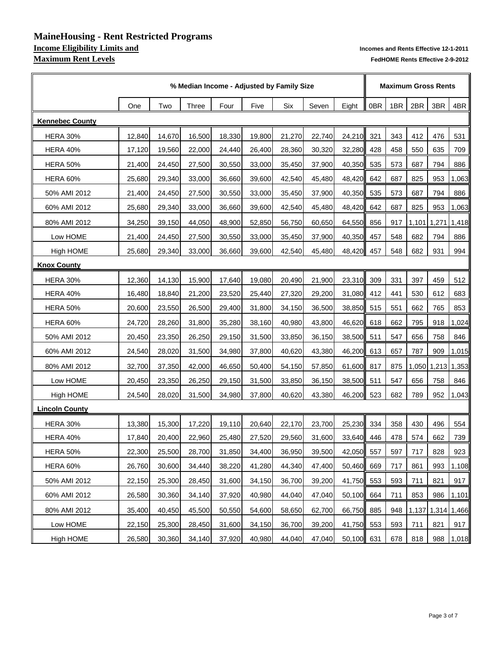# **MaineHousing - Rent Restricted Programs Income Eligibility Limits and <b>Income Eligibility Limits and Pendix** and Rents Effective 12-1-2011<br>**Maximum Rent Levels** FedHOME Rents Effective 2-9-2012

|                        |        | % Median Income - Adjusted by Family Size |        |        |        |        |        |            |     |     |             | <b>Maximum Gross Rents</b> |       |  |  |  |
|------------------------|--------|-------------------------------------------|--------|--------|--------|--------|--------|------------|-----|-----|-------------|----------------------------|-------|--|--|--|
|                        | One    | Two                                       | Three  | Four   | Five   | Six    | Seven  | Eight      | 0BR | 1BR | 2BR         | 3BR                        | 4BR   |  |  |  |
| <b>Kennebec County</b> |        |                                           |        |        |        |        |        |            |     |     |             |                            |       |  |  |  |
| <b>HERA 30%</b>        | 12,840 | 14,670                                    | 16,500 | 18,330 | 19,800 | 21,270 | 22,740 | 24,210     | 321 | 343 | 412         | 476                        | 531   |  |  |  |
| <b>HERA 40%</b>        | 17,120 | 19,560                                    | 22,000 | 24,440 | 26,400 | 28,360 | 30,320 | 32,280     | 428 | 458 | 550         | 635                        | 709   |  |  |  |
| <b>HERA 50%</b>        | 21,400 | 24,450                                    | 27,500 | 30,550 | 33,000 | 35,450 | 37,900 | 40,350 535 |     | 573 | 687         | 794                        | 886   |  |  |  |
| <b>HERA 60%</b>        | 25,680 | 29,340                                    | 33,000 | 36,660 | 39,600 | 42,540 | 45,480 | 48,420     | 642 | 687 | 825         | 953                        | 1,063 |  |  |  |
| 50% AMI 2012           | 21,400 | 24,450                                    | 27,500 | 30,550 | 33,000 | 35,450 | 37,900 | 40,350     | 535 | 573 | 687         | 794                        | 886   |  |  |  |
| 60% AMI 2012           | 25,680 | 29,340                                    | 33,000 | 36,660 | 39,600 | 42,540 | 45,480 | 48,420     | 642 | 687 | 825         | 953                        | 1,063 |  |  |  |
| 80% AMI 2012           | 34,250 | 39,150                                    | 44,050 | 48,900 | 52,850 | 56,750 | 60,650 | 64,550     | 856 | 917 | 1,101 1,271 |                            | 1,418 |  |  |  |
| Low HOME               | 21,400 | 24,450                                    | 27,500 | 30,550 | 33,000 | 35,450 | 37,900 | 40,350     | 457 | 548 | 682         | 794                        | 886   |  |  |  |
| High HOME              | 25,680 | 29,340                                    | 33,000 | 36,660 | 39,600 | 42,540 | 45,480 | 48,420     | 457 | 548 | 682         | 931                        | 994   |  |  |  |
| <b>Knox County</b>     |        |                                           |        |        |        |        |        |            |     |     |             |                            |       |  |  |  |
| <b>HERA 30%</b>        | 12,360 | 14,130                                    | 15,900 | 17,640 | 19,080 | 20,490 | 21,900 | 23,310     | 309 | 331 | 397         | 459                        | 512   |  |  |  |
| <b>HERA 40%</b>        | 16,480 | 18,840                                    | 21,200 | 23,520 | 25,440 | 27,320 | 29,200 | 31,080     | 412 | 441 | 530         | 612                        | 683   |  |  |  |
| <b>HERA 50%</b>        | 20,600 | 23,550                                    | 26,500 | 29,400 | 31,800 | 34,150 | 36,500 | 38,850     | 515 | 551 | 662         | 765                        | 853   |  |  |  |
| <b>HERA 60%</b>        | 24,720 | 28,260                                    | 31,800 | 35,280 | 38,160 | 40,980 | 43,800 | 46,620 618 |     | 662 | 795         | 918                        | 1,024 |  |  |  |
| 50% AMI 2012           | 20,450 | 23,350                                    | 26,250 | 29,150 | 31,500 | 33,850 | 36,150 | 38,500     | 511 | 547 | 656         | 758                        | 846   |  |  |  |
| 60% AMI 2012           | 24,540 | 28,020                                    | 31,500 | 34,980 | 37,800 | 40,620 | 43,380 | 46,200 613 |     | 657 | 787         | 909                        | 1,015 |  |  |  |
| 80% AMI 2012           | 32,700 | 37,350                                    | 42,000 | 46,650 | 50,400 | 54,150 | 57,850 | 61,600 817 |     | 875 |             | 1,050 1,213                | 1,353 |  |  |  |
| Low HOME               | 20,450 | 23,350                                    | 26,250 | 29,150 | 31,500 | 33,850 | 36,150 | 38,500 511 |     | 547 | 656         | 758                        | 846   |  |  |  |
| <b>High HOME</b>       | 24,540 | 28,020                                    | 31,500 | 34,980 | 37,800 | 40,620 | 43,380 | 46,200 523 |     | 682 | 789         | 952                        | 1,043 |  |  |  |
| <b>Lincoln County</b>  |        |                                           |        |        |        |        |        |            |     |     |             |                            |       |  |  |  |
| <b>HERA 30%</b>        | 13,380 | 15,300                                    | 17,220 | 19,110 | 20,640 | 22,170 | 23,700 | 25,230 334 |     | 358 | 430         | 496                        | 554   |  |  |  |
| <b>HERA 40%</b>        | 17,840 | 20,400                                    | 22,960 | 25,480 | 27,520 | 29,560 | 31,600 | 33,640 446 |     | 478 | 574         | 662                        | 739   |  |  |  |
| <b>HERA 50%</b>        | 22,300 | 25,500                                    | 28,700 | 31,850 | 34,400 | 36,950 | 39,500 | 42,050 557 |     | 597 | 717         | 828                        | 923   |  |  |  |
| HERA 60%               | 26,760 | 30,600                                    | 34,440 | 38,220 | 41,280 | 44,340 | 47,400 | 50,460 669 |     | 717 | 861         | 993                        | 1,108 |  |  |  |
| 50% AMI 2012           | 22,150 | 25,300                                    | 28,450 | 31,600 | 34,150 | 36,700 | 39,200 | 41,750 553 |     | 593 | 711         | 821                        | 917   |  |  |  |
| 60% AMI 2012           | 26,580 | 30,360                                    | 34,140 | 37,920 | 40,980 | 44,040 | 47,040 | 50,100 664 |     | 711 | 853         | 986                        | 1,101 |  |  |  |
| 80% AMI 2012           | 35,400 | 40,450                                    | 45,500 | 50,550 | 54,600 | 58,650 | 62,700 | 66,750     | 885 | 948 | 1,137       | 1,314                      | 1,466 |  |  |  |
| Low HOME               | 22,150 | 25,300                                    | 28,450 | 31,600 | 34,150 | 36,700 | 39,200 | 41,750 553 |     | 593 | 711         | 821                        | 917   |  |  |  |
| High HOME              | 26,580 | 30,360                                    | 34,140 | 37,920 | 40,980 | 44,040 | 47,040 | 50,100 631 |     | 678 | 818         | 988                        | 1,018 |  |  |  |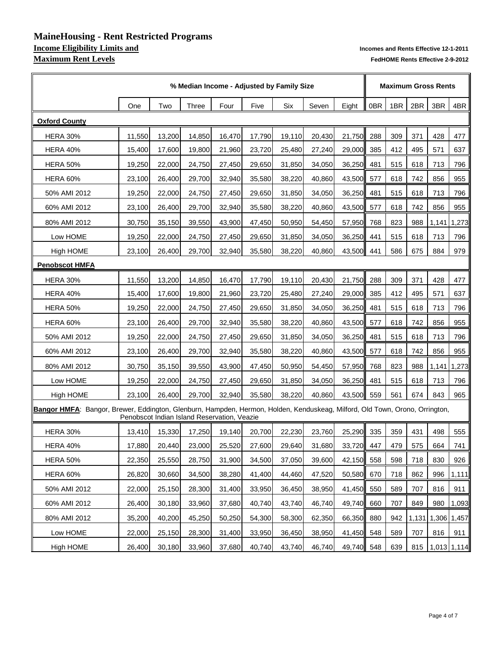# **MaineHousing - Rent Restricted Programs Maximum Rent Levels FedHOME Rents Effective 2-9-2012**

|                                                                                                                             | % Median Income - Adjusted by Family Size |        |        |                                             |        |        |        |            |     |     |     | <b>Maximum Gross Rents</b> |               |  |  |  |
|-----------------------------------------------------------------------------------------------------------------------------|-------------------------------------------|--------|--------|---------------------------------------------|--------|--------|--------|------------|-----|-----|-----|----------------------------|---------------|--|--|--|
|                                                                                                                             | One                                       | Two    | Three  | Four                                        | Five   | Six    | Seven  | Eight      | 0BR | 1BR | 2BR | 3BR                        | 4BR           |  |  |  |
| <b>Oxford County</b>                                                                                                        |                                           |        |        |                                             |        |        |        |            |     |     |     |                            |               |  |  |  |
| <b>HERA 30%</b>                                                                                                             | 11,550                                    | 13,200 | 14,850 | 16,470                                      | 17,790 | 19,110 | 20,430 | 21,750     | 288 | 309 | 371 | 428                        | 477           |  |  |  |
| <b>HERA 40%</b>                                                                                                             | 15,400                                    | 17,600 | 19,800 | 21,960                                      | 23,720 | 25,480 | 27,240 | 29,000     | 385 | 412 | 495 | 571                        | 637           |  |  |  |
| <b>HERA 50%</b>                                                                                                             | 19,250                                    | 22,000 | 24,750 | 27,450                                      | 29,650 | 31,850 | 34,050 | 36,250     | 481 | 515 | 618 | 713                        | 796           |  |  |  |
| <b>HERA 60%</b>                                                                                                             | 23,100                                    | 26,400 | 29,700 | 32,940                                      | 35,580 | 38,220 | 40,860 | 43,500     | 577 | 618 | 742 | 856                        | 955           |  |  |  |
| 50% AMI 2012                                                                                                                | 19,250                                    | 22,000 | 24,750 | 27,450                                      | 29,650 | 31,850 | 34,050 | 36,250     | 481 | 515 | 618 | 713                        | 796           |  |  |  |
| 60% AMI 2012                                                                                                                | 23,100                                    | 26,400 | 29,700 | 32,940                                      | 35,580 | 38,220 | 40,860 | 43,500 577 |     | 618 | 742 | 856                        | 955           |  |  |  |
| 80% AMI 2012                                                                                                                | 30,750                                    | 35,150 | 39,550 | 43,900                                      | 47,450 | 50,950 | 54,450 | 57,950     | 768 | 823 | 988 | 1,141                      | 1,273         |  |  |  |
| Low HOME                                                                                                                    | 19,250                                    | 22,000 | 24,750 | 27,450                                      | 29,650 | 31,850 | 34,050 | 36,250     | 441 | 515 | 618 | 713                        | 796           |  |  |  |
| High HOME                                                                                                                   | 23,100                                    | 26,400 | 29,700 | 32,940                                      | 35,580 | 38,220 | 40,860 | 43,500     | 441 | 586 | 675 | 884                        | 979           |  |  |  |
| <b>Penobscot HMFA</b>                                                                                                       |                                           |        |        |                                             |        |        |        |            |     |     |     |                            |               |  |  |  |
| <b>HERA 30%</b>                                                                                                             | 11,550                                    | 13,200 | 14,850 | 16,470                                      | 17,790 | 19,110 | 20,430 | 21,750     | 288 | 309 | 371 | 428                        | 477           |  |  |  |
| <b>HERA 40%</b>                                                                                                             | 15,400                                    | 17,600 | 19,800 | 21,960                                      | 23,720 | 25,480 | 27,240 | 29,000     | 385 | 412 | 495 | 571                        | 637           |  |  |  |
| <b>HERA 50%</b>                                                                                                             | 19,250                                    | 22,000 | 24,750 | 27,450                                      | 29,650 | 31,850 | 34,050 | 36,250     | 481 | 515 | 618 | 713                        | 796           |  |  |  |
| <b>HERA 60%</b>                                                                                                             | 23,100                                    | 26,400 | 29,700 | 32,940                                      | 35,580 | 38,220 | 40,860 | 43,500 577 |     | 618 | 742 | 856                        | 955           |  |  |  |
| 50% AMI 2012                                                                                                                | 19,250                                    | 22,000 | 24,750 | 27,450                                      | 29,650 | 31,850 | 34,050 | 36,250     | 481 | 515 | 618 | 713                        | 796           |  |  |  |
| 60% AMI 2012                                                                                                                | 23,100                                    | 26,400 | 29,700 | 32,940                                      | 35,580 | 38,220 | 40,860 | 43,500     | 577 | 618 | 742 | 856                        | 955           |  |  |  |
| 80% AMI 2012                                                                                                                | 30,750                                    | 35,150 | 39,550 | 43,900                                      | 47,450 | 50,950 | 54,450 | 57,950     | 768 | 823 | 988 | 1,141                      | 1,273         |  |  |  |
| Low HOME                                                                                                                    | 19,250                                    | 22,000 | 24,750 | 27,450                                      | 29,650 | 31,850 | 34,050 | 36,250     | 481 | 515 | 618 | 713                        | 796           |  |  |  |
| <b>High HOME</b>                                                                                                            | 23,100                                    | 26,400 | 29,700 | 32,940                                      | 35,580 | 38,220 | 40,860 | 43,500 559 |     | 561 | 674 | 843                        | 965           |  |  |  |
| Bangor HMFA: Bangor, Brewer, Eddington, Glenburn, Hampden, Hermon, Holden, Kenduskeag, Milford, Old Town, Orono, Orrington, |                                           |        |        | Penobscot Indian Island Reservation, Veazie |        |        |        |            |     |     |     |                            |               |  |  |  |
| <b>HERA 30%</b>                                                                                                             | 13,410                                    | 15,330 | 17,250 | 19,140                                      | 20,700 | 22,230 | 23,760 | 25,290 335 |     | 359 | 431 | 498                        | 555           |  |  |  |
| <b>HERA 40%</b>                                                                                                             | 17,880                                    | 20,440 | 23,000 | 25,520                                      | 27,600 | 29,640 | 31,680 | 33,720 447 |     | 479 | 575 | 664                        | 741           |  |  |  |
| <b>HERA 50%</b>                                                                                                             | 22,350                                    | 25,550 | 28,750 | 31,900                                      | 34,500 | 37,050 | 39,600 | 42,150 558 |     | 598 | 718 | 830                        | 926           |  |  |  |
| <b>HERA 60%</b>                                                                                                             | 26,820                                    | 30,660 | 34,500 | 38,280                                      | 41,400 | 44,460 | 47,520 | 50,580 670 |     | 718 | 862 | 996                        | 1,111         |  |  |  |
| 50% AMI 2012                                                                                                                | 22,000                                    | 25,150 | 28,300 | 31,400                                      | 33,950 | 36,450 | 38,950 | 41,450 550 |     | 589 | 707 | 816                        | 911           |  |  |  |
| 60% AMI 2012                                                                                                                | 26,400                                    | 30,180 | 33,960 | 37,680                                      | 40,740 | 43,740 | 46,740 | 49,740 660 |     | 707 | 849 | 980                        | 1,093         |  |  |  |
| 80% AMI 2012                                                                                                                | 35,200                                    | 40,200 | 45,250 | 50,250                                      | 54,300 | 58,300 | 62,350 | 66,350     | 880 | 942 |     | 1,131 1,306                | 1,457         |  |  |  |
| Low HOME                                                                                                                    | 22,000                                    | 25,150 | 28,300 | 31,400                                      | 33,950 | 36,450 | 38,950 | 41,450 548 |     | 589 | 707 | 816                        | 911           |  |  |  |
| High HOME                                                                                                                   | 26,400                                    | 30,180 | 33,960 | 37,680                                      | 40,740 | 43,740 | 46,740 | 49,740 548 |     | 639 | 815 |                            | $1,013$ 1,114 |  |  |  |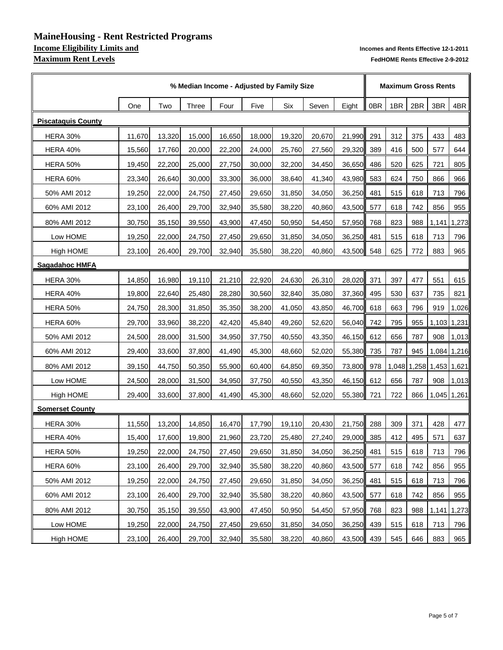# **MaineHousing - Rent Restricted Programs Income Eligibility Limits and <b>Income Eligibility Limits and Pendix** and Rents Effective 12-1-2011<br>**Maximum Rent Levels** FedHOME Rents Effective 2-9-2012

|                           |        |        |              | % Median Income - Adjusted by Family Size |        |        |        |            | <b>Maximum Gross Rents</b> |     |     |                         |               |
|---------------------------|--------|--------|--------------|-------------------------------------------|--------|--------|--------|------------|----------------------------|-----|-----|-------------------------|---------------|
|                           | One    | Two    | <b>Three</b> | Four                                      | Five   | Six    | Seven  | Eight      | 0BR                        | 1BR | 2BR | 3BR                     | 4BR           |
| <b>Piscataquis County</b> |        |        |              |                                           |        |        |        |            |                            |     |     |                         |               |
| <b>HERA 30%</b>           | 11,670 | 13,320 | 15,000       | 16,650                                    | 18,000 | 19,320 | 20,670 | 21,990     | 291                        | 312 | 375 | 433                     | 483           |
| <b>HERA 40%</b>           | 15,560 | 17,760 | 20,000       | 22,200                                    | 24,000 | 25,760 | 27,560 | 29,320     | 389                        | 416 | 500 | 577                     | 644           |
| <b>HERA 50%</b>           | 19,450 | 22,200 | 25,000       | 27,750                                    | 30,000 | 32,200 | 34,450 | 36,650     | 486                        | 520 | 625 | 721                     | 805           |
| <b>HERA 60%</b>           | 23,340 | 26,640 | 30,000       | 33,300                                    | 36,000 | 38,640 | 41,340 | 43,980     | 583                        | 624 | 750 | 866                     | 966           |
| 50% AMI 2012              | 19,250 | 22,000 | 24,750       | 27,450                                    | 29,650 | 31,850 | 34,050 | 36,250     | 481                        | 515 | 618 | 713                     | 796           |
| 60% AMI 2012              | 23,100 | 26,400 | 29,700       | 32,940                                    | 35,580 | 38,220 | 40,860 | 43,500 577 |                            | 618 | 742 | 856                     | 955           |
| 80% AMI 2012              | 30,750 | 35,150 | 39,550       | 43,900                                    | 47,450 | 50,950 | 54,450 | 57,950     | 768                        | 823 | 988 | 1,141                   | 1,273         |
| Low HOME                  | 19,250 | 22,000 | 24,750       | 27,450                                    | 29,650 | 31,850 | 34,050 | 36,250     | 481                        | 515 | 618 | 713                     | 796           |
| High HOME                 | 23,100 | 26,400 | 29,700       | 32,940                                    | 35,580 | 38,220 | 40,860 | 43,500     | 548                        | 625 | 772 | 883                     | 965           |
| <b>Sagadahoc HMFA</b>     |        |        |              |                                           |        |        |        |            |                            |     |     |                         |               |
| <b>HERA 30%</b>           | 14,850 | 16,980 | 19,110       | 21,210                                    | 22,920 | 24,630 | 26,310 | 28,020     | 371                        | 397 | 477 | 551                     | 615           |
| <b>HERA 40%</b>           | 19,800 | 22,640 | 25,480       | 28,280                                    | 30,560 | 32,840 | 35,080 | 37,360     | 495                        | 530 | 637 | 735                     | 821           |
| <b>HERA 50%</b>           | 24,750 | 28,300 | 31,850       | 35,350                                    | 38,200 | 41,050 | 43,850 | 46,700 618 |                            | 663 | 796 | 919                     | 1,026         |
| <b>HERA 60%</b>           | 29,700 | 33,960 | 38,220       | 42,420                                    | 45,840 | 49,260 | 52,620 | 56,040 742 |                            | 795 | 955 |                         | $1,103$ 1,231 |
| 50% AMI 2012              | 24,500 | 28,000 | 31,500       | 34,950                                    | 37,750 | 40,550 | 43,350 | 46,150 612 |                            | 656 | 787 | 908                     | 1,013         |
| 60% AMI 2012              | 29,400 | 33,600 | 37,800       | 41,490                                    | 45,300 | 48,660 | 52,020 | 55,380     | 735                        | 787 | 945 |                         | 1,084 1,216   |
| 80% AMI 2012              | 39,150 | 44,750 | 50,350       | 55,900                                    | 60,400 | 64,850 | 69,350 | 73,800 978 |                            |     |     | 1,048 1,258 1,453 1,621 |               |
| Low HOME                  | 24,500 | 28,000 | 31,500       | 34,950                                    | 37,750 | 40,550 | 43,350 | 46,150 612 |                            | 656 | 787 | 908                     | 1,013         |
| <b>High HOME</b>          | 29,400 | 33,600 | 37,800       | 41,490                                    | 45,300 | 48,660 | 52,020 | 55,380 721 |                            | 722 |     | 866   1,045   1,261     |               |
| <b>Somerset County</b>    |        |        |              |                                           |        |        |        |            |                            |     |     |                         |               |
| <b>HERA 30%</b>           | 11,550 | 13,200 | 14,850       | 16,470                                    | 17,790 | 19,110 | 20,430 | 21,750     | 288                        | 309 | 371 | 428                     | 477           |
| <b>HERA 40%</b>           | 15,400 | 17,600 | 19,800       | 21,960                                    | 23,720 | 25,480 | 27,240 | 29,000 385 |                            | 412 | 495 | 571                     | 637           |
| <b>HERA 50%</b>           | 19,250 | 22,000 | 24,750       | 27,450                                    | 29,650 | 31,850 | 34,050 | 36,250 481 |                            | 515 | 618 | 713                     | 796           |
| HERA 60%                  | 23,100 | 26,400 | 29,700       | 32,940                                    | 35,580 | 38,220 | 40,860 | 43,500 577 |                            | 618 | 742 | 856                     | 955           |
| 50% AMI 2012              | 19,250 | 22,000 | 24,750       | 27,450                                    | 29,650 | 31,850 | 34,050 | 36,250 481 |                            | 515 | 618 | 713                     | 796           |
| 60% AMI 2012              | 23,100 | 26,400 | 29,700       | 32,940                                    | 35,580 | 38,220 | 40,860 | 43,500 577 |                            | 618 | 742 | 856                     | 955           |
| 80% AMI 2012              | 30,750 | 35,150 | 39,550       | 43,900                                    | 47,450 | 50,950 | 54,450 | 57,950     | 768                        | 823 | 988 | 1,141                   | 1,273         |
| Low HOME                  | 19,250 | 22,000 | 24,750       | 27,450                                    | 29,650 | 31,850 | 34,050 | 36,250 439 |                            | 515 | 618 | 713                     | 796           |
| High HOME                 | 23,100 | 26,400 | 29,700       | 32,940                                    | 35,580 | 38,220 | 40,860 | 43,500 439 |                            | 545 | 646 | 883                     | 965           |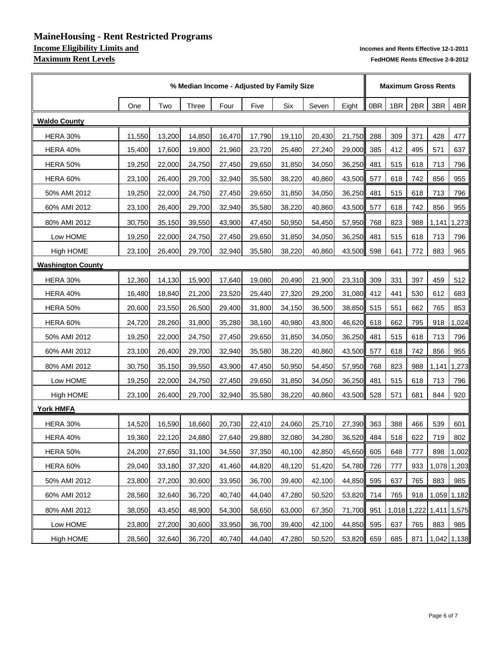# **MaineHousing - Rent Restricted Programs Income Eligibility Limits and <b>Income Eligibility Limits and Pendix** and Rents Effective 12-1-2011<br>**Maximum Rent Levels** FedHOME Rents Effective 2-9-2012

|                          |        |        |        | % Median Income - Adjusted by Family Size |        |        |        |            | <b>Maximum Gross Rents</b> |     |     |                   |             |
|--------------------------|--------|--------|--------|-------------------------------------------|--------|--------|--------|------------|----------------------------|-----|-----|-------------------|-------------|
|                          | One    | Two    | Three  | Four                                      | Five   | Six    | Seven  | Eight      | 0BR                        | 1BR | 2BR | 3BR               | 4BR         |
| <b>Waldo County</b>      |        |        |        |                                           |        |        |        |            |                            |     |     |                   |             |
| <b>HERA 30%</b>          | 11,550 | 13,200 | 14,850 | 16,470                                    | 17,790 | 19,110 | 20,430 | 21,750     | 288                        | 309 | 371 | 428               | 477         |
| <b>HERA 40%</b>          | 15,400 | 17,600 | 19,800 | 21,960                                    | 23,720 | 25,480 | 27,240 | 29,000     | 385                        | 412 | 495 | 571               | 637         |
| <b>HERA 50%</b>          | 19,250 | 22,000 | 24,750 | 27,450                                    | 29,650 | 31,850 | 34,050 | 36,250     | 481                        | 515 | 618 | 713               | 796         |
| <b>HERA 60%</b>          | 23,100 | 26,400 | 29,700 | 32,940                                    | 35,580 | 38,220 | 40,860 | 43,500     | 577                        | 618 | 742 | 856               | 955         |
| 50% AMI 2012             | 19,250 | 22,000 | 24,750 | 27,450                                    | 29,650 | 31,850 | 34,050 | 36,250     | 481                        | 515 | 618 | 713               | 796         |
| 60% AMI 2012             | 23,100 | 26,400 | 29,700 | 32,940                                    | 35,580 | 38,220 | 40,860 | 43,500 577 |                            | 618 | 742 | 856               | 955         |
| 80% AMI 2012             | 30,750 | 35,150 | 39,550 | 43,900                                    | 47,450 | 50,950 | 54,450 | 57,950     | 768                        | 823 | 988 | 1,141             | 1,273       |
| Low HOME                 | 19,250 | 22,000 | 24,750 | 27,450                                    | 29,650 | 31,850 | 34,050 | 36,250     | 481                        | 515 | 618 | 713               | 796         |
| <b>High HOME</b>         | 23,100 | 26,400 | 29,700 | 32,940                                    | 35,580 | 38,220 | 40,860 | 43,500     | 598                        | 641 | 772 | 883               | 965         |
| <b>Washington County</b> |        |        |        |                                           |        |        |        |            |                            |     |     |                   |             |
| <b>HERA 30%</b>          | 12,360 | 14,130 | 15,900 | 17,640                                    | 19,080 | 20,490 | 21,900 | 23,310     | 309                        | 331 | 397 | 459               | 512         |
| <b>HERA 40%</b>          | 16,480 | 18,840 | 21,200 | 23,520                                    | 25,440 | 27,320 | 29,200 | 31,080 412 |                            | 441 | 530 | 612               | 683         |
| <b>HERA 50%</b>          | 20,600 | 23,550 | 26,500 | 29,400                                    | 31,800 | 34,150 | 36,500 | 38,850 515 |                            | 551 | 662 | 765               | 853         |
| <b>HERA 60%</b>          | 24,720 | 28,260 | 31,800 | 35,280                                    | 38,160 | 40,980 | 43,800 | 46,620 618 |                            | 662 | 795 | 918               | 1,024       |
| 50% AMI 2012             | 19,250 | 22,000 | 24,750 | 27,450                                    | 29,650 | 31,850 | 34,050 | 36,250 481 |                            | 515 | 618 | 713               | 796         |
| 60% AMI 2012             | 23,100 | 26,400 | 29,700 | 32,940                                    | 35,580 | 38,220 | 40,860 | 43,500     | 577                        | 618 | 742 | 856               | 955         |
| 80% AMI 2012             | 30,750 | 35,150 | 39,550 | 43,900                                    | 47,450 | 50,950 | 54,450 | 57,950     | 768                        | 823 | 988 | 1,141             | 1,273       |
| Low HOME                 | 19,250 | 22,000 | 24,750 | 27,450                                    | 29,650 | 31,850 | 34,050 | 36,250     | 481                        | 515 | 618 | 713               | 796         |
| <b>High HOME</b>         | 23,100 | 26,400 | 29,700 | 32,940                                    | 35,580 | 38,220 | 40,860 | 43,500 528 |                            | 571 | 681 | 844               | 920         |
| <b>York HMFA</b>         |        |        |        |                                           |        |        |        |            |                            |     |     |                   |             |
| <b>HERA 30%</b>          | 14,520 | 16,590 | 18,660 | 20,730                                    | 22,410 | 24,060 | 25,710 | 27,390     | 363                        | 388 | 466 | 539               | 601         |
| <b>HERA 40%</b>          | 19,360 | 22,120 | 24,880 | 27,640                                    | 29,880 | 32,080 | 34,280 | 36,520 484 |                            | 518 | 622 | 719               | 802         |
| <b>HERA 50%</b>          | 24,200 | 27,650 | 31,100 | 34,550                                    | 37,350 | 40,100 | 42,850 | 45,650 605 |                            | 648 | 777 | 898               | 1,002       |
| HERA 60%                 | 29,040 | 33,180 | 37,320 | 41,460                                    | 44,820 | 48,120 | 51,420 | 54,780 726 |                            | 777 | 933 |                   | 1,078 1,203 |
| 50% AMI 2012             | 23,800 | 27,200 | 30,600 | 33,950                                    | 36,700 | 39,400 | 42,100 | 44,850 595 |                            | 637 | 765 | 883               | 985         |
| 60% AMI 2012             | 28,560 | 32,640 | 36,720 | 40,740                                    | 44,040 | 47,280 | 50,520 | 53,820 714 |                            | 765 | 918 |                   | 1,059 1,182 |
| 80% AMI 2012             | 38,050 | 43,450 | 48,900 | 54,300                                    | 58,650 | 63,000 | 67,350 | 71,700 951 |                            |     |     | 1,018 1,222 1,411 | 1,575       |
| Low HOME                 | 23,800 | 27,200 | 30,600 | 33,950                                    | 36,700 | 39,400 | 42,100 | 44,850 595 |                            | 637 | 765 | 883               | 985         |
| <b>High HOME</b>         | 28,560 | 32,640 | 36,720 | 40,740                                    | 44,040 | 47,280 | 50,520 | 53,820 659 |                            | 685 | 871 | $1,042$ 1,138     |             |